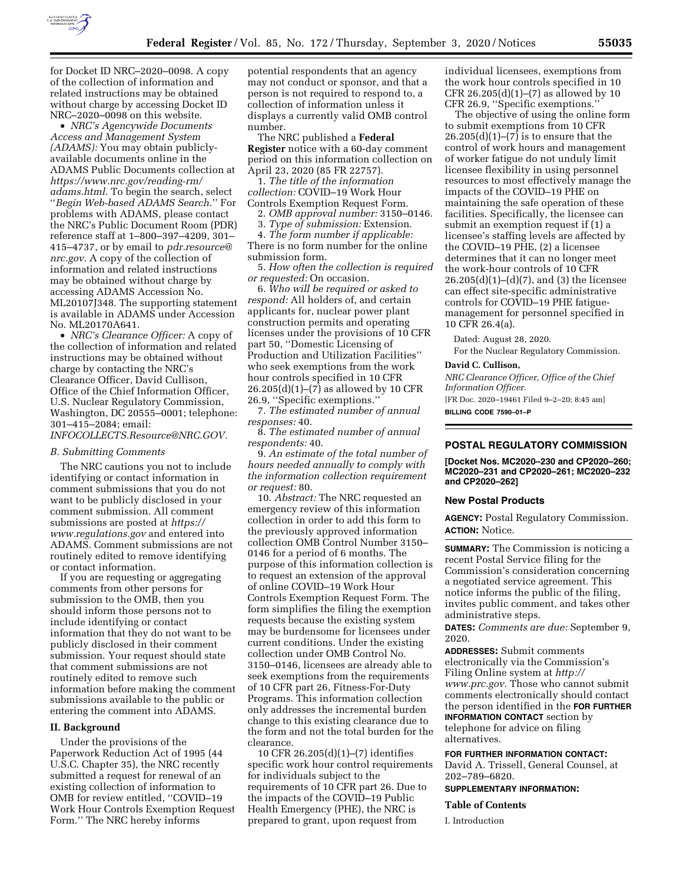

for Docket ID NRC–2020–0098. A copy of the collection of information and related instructions may be obtained

without charge by accessing Docket ID NRC–2020–0098 on this website. • *NRC's Agencywide Documents Access and Management System (ADAMS):* You may obtain publiclyavailable documents online in the ADAMS Public Documents collection at *[https://www.nrc.gov/reading-rm/](https://www.nrc.gov/reading-rm/adams.html)  [adams.html.](https://www.nrc.gov/reading-rm/adams.html)* To begin the search, select ''*Begin Web-based ADAMS Search.*'' For problems with ADAMS, please contact the NRC's Public Document Room (PDR) reference staff at 1–800–397–4209, 301– 415–4737, or by email to *[pdr.resource@](mailto:pdr.resource@nrc.gov) [nrc.gov.](mailto:pdr.resource@nrc.gov)* A copy of the collection of information and related instructions may be obtained without charge by accessing ADAMS Accession No. ML20107J348. The supporting statement is available in ADAMS under Accession No. ML20170A641.

• *NRC's Clearance Officer:* A copy of the collection of information and related instructions may be obtained without charge by contacting the NRC's Clearance Officer, David Cullison, Office of the Chief Information Officer, U.S. Nuclear Regulatory Commission, Washington, DC 20555–0001; telephone: 301–415–2084; email:

*[INFOCOLLECTS.Resource@NRC.GOV.](mailto:INFOCOLLECTS.Resource@NRC.GOV)* 

## *B. Submitting Comments*

The NRC cautions you not to include identifying or contact information in comment submissions that you do not want to be publicly disclosed in your comment submission. All comment submissions are posted at *[https://](https://www.regulations.gov) [www.regulations.gov](https://www.regulations.gov)* and entered into ADAMS. Comment submissions are not routinely edited to remove identifying or contact information.

If you are requesting or aggregating comments from other persons for submission to the OMB, then you should inform those persons not to include identifying or contact information that they do not want to be publicly disclosed in their comment submission. Your request should state that comment submissions are not routinely edited to remove such information before making the comment submissions available to the public or entering the comment into ADAMS.

## **II. Background**

Under the provisions of the Paperwork Reduction Act of 1995 (44 U.S.C. Chapter 35), the NRC recently submitted a request for renewal of an existing collection of information to OMB for review entitled, ''COVID–19 Work Hour Controls Exemption Request Form.'' The NRC hereby informs

potential respondents that an agency may not conduct or sponsor, and that a person is not required to respond to, a collection of information unless it displays a currently valid OMB control number.

The NRC published a **Federal Register** notice with a 60-day comment period on this information collection on April 23, 2020 (85 FR 22757).

1. *The title of the information collection:* COVID–19 Work Hour Controls Exemption Request Form.

2. *OMB approval number:* 3150–0146.

3. *Type of submission:* Extension.

4. *The form number if applicable:*  There is no form number for the online submission form.

5. *How often the collection is required or requested:* On occasion.

6. *Who will be required or asked to respond:* All holders of, and certain applicants for, nuclear power plant construction permits and operating licenses under the provisions of 10 CFR part 50, ''Domestic Licensing of Production and Utilization Facilities'' who seek exemptions from the work hour controls specified in 10 CFR  $26.205(d)(1)–(7)$  as allowed by 10 CFR 26.9, ''Specific exemptions.''

7. *The estimated number of annual responses:* 40.

8. *The estimated number of annual respondents:* 40.

9. *An estimate of the total number of hours needed annually to comply with the information collection requirement or request:* 80.

10. *Abstract:* The NRC requested an emergency review of this information collection in order to add this form to the previously approved information collection OMB Control Number 3150– 0146 for a period of 6 months. The purpose of this information collection is to request an extension of the approval of online COVID–19 Work Hour Controls Exemption Request Form. The form simplifies the filing the exemption requests because the existing system may be burdensome for licensees under current conditions. Under the existing collection under OMB Control No. 3150–0146, licensees are already able to seek exemptions from the requirements of 10 CFR part 26, Fitness-For-Duty Programs. This information collection only addresses the incremental burden change to this existing clearance due to the form and not the total burden for the clearance.

10 CFR 26.205(d)(1)–(7) identifies specific work hour control requirements for individuals subject to the requirements of 10 CFR part 26. Due to the impacts of the COVID–19 Public Health Emergency (PHE), the NRC is prepared to grant, upon request from

individual licensees, exemptions from the work hour controls specified in 10 CFR 26.205 $(d)(1)$ – $(7)$  as allowed by 10 CFR 26.9, ''Specific exemptions.''

The objective of using the online form to submit exemptions from 10 CFR  $26.205(d)(1)–(7)$  is to ensure that the control of work hours and management of worker fatigue do not unduly limit licensee flexibility in using personnel resources to most effectively manage the impacts of the COVID–19 PHE on maintaining the safe operation of these facilities. Specifically, the licensee can submit an exemption request if (1) a licensee's staffing levels are affected by the COVID–19 PHE, (2) a licensee determines that it can no longer meet the work-hour controls of 10 CFR  $26.205(d)(1)–(d)(7)$ , and (3) the licensee can effect site-specific administrative controls for COVID–19 PHE fatiguemanagement for personnel specified in 10 CFR 26.4(a).

Dated: August 28, 2020.

For the Nuclear Regulatory Commission.

### **David C. Cullison,**

*NRC Clearance Officer, Office of the Chief Information Officer.*  [FR Doc. 2020–19461 Filed 9–2–20; 8:45 am]

**BILLING CODE 7590–01–P** 

#### **POSTAL REGULATORY COMMISSION**

**[Docket Nos. MC2020–230 and CP2020–260; MC2020–231 and CP2020–261; MC2020–232 and CP2020–262]** 

#### **New Postal Products**

**AGENCY:** Postal Regulatory Commission. **ACTION:** Notice.

**SUMMARY:** The Commission is noticing a recent Postal Service filing for the Commission's consideration concerning a negotiated service agreement. This notice informs the public of the filing, invites public comment, and takes other administrative steps.

**DATES:** *Comments are due:* September 9, 2020.

**ADDRESSES:** Submit comments electronically via the Commission's Filing Online system at *[http://](http://www.prc.gov) [www.prc.gov.](http://www.prc.gov)* Those who cannot submit comments electronically should contact the person identified in the **FOR FURTHER INFORMATION CONTACT** section by telephone for advice on filing alternatives.

**FOR FURTHER INFORMATION CONTACT:** 

David A. Trissell, General Counsel, at 202–789–6820.

**SUPPLEMENTARY INFORMATION:** 

#### **Table of Contents**

I. Introduction